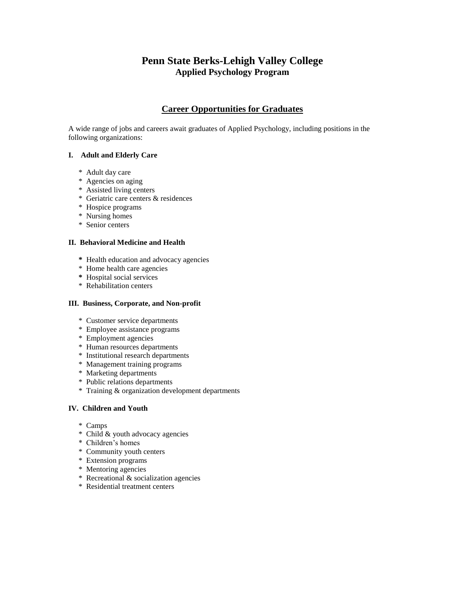# **Penn State Berks-Lehigh Valley College Applied Psychology Program**

## **Career Opportunities for Graduates**

A wide range of jobs and careers await graduates of Applied Psychology, including positions in the following organizations:

## **I. Adult and Elderly Care**

- \* Adult day care
- \* Agencies on aging
- \* Assisted living centers
- \* Geriatric care centers & residences
- \* Hospice programs
- \* Nursing homes
- \* Senior centers

### **II. Behavioral Medicine and Health**

- **\*** Health education and advocacy agencies
- \* Home health care agencies
- **\*** Hospital social services
- \* Rehabilitation centers

#### **III. Business, Corporate, and Non-profit**

- \* Customer service departments
- \* Employee assistance programs
- \* Employment agencies
- \* Human resources departments
- \* Institutional research departments
- \* Management training programs
- \* Marketing departments
- \* Public relations departments
- \* Training & organization development departments

### **IV. Children and Youth**

- \* Camps
- \* Child & youth advocacy agencies
- \* Children's homes
- \* Community youth centers
- \* Extension programs
- \* Mentoring agencies
- \* Recreational & socialization agencies
- \* Residential treatment centers